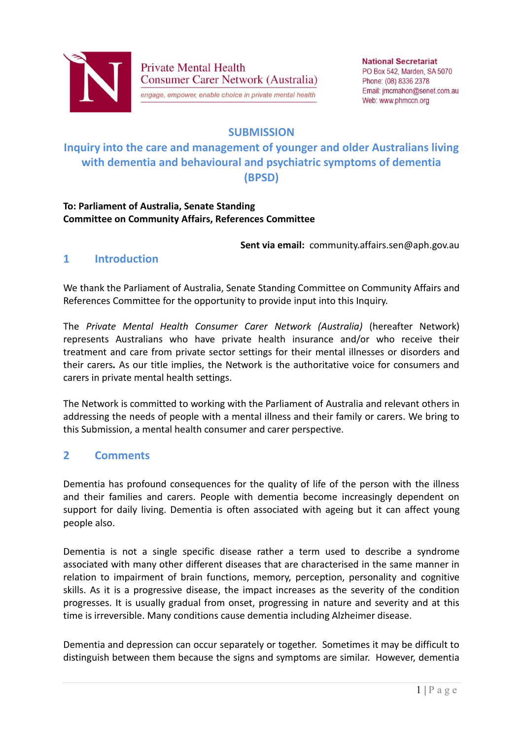

**Private Mental Health Consumer Carer Network (Australia)** 

engage, empower, enable choice in private mental health

# **SUBMISSION**

# **Inquiry into the care and management of younger and older Australians living with dementia and behavioural and psychiatric symptoms of dementia (BPSD)**

#### **To: Parliament of Australia, Senate Standing Committee on Community Affairs, References Committee**

**Sent via email:** community.affairs.sen@aph.gov.au

### **1 Introduction**

We thank the Parliament of Australia, Senate Standing Committee on Community Affairs and References Committee for the opportunity to provide input into this Inquiry.

The *Private Mental Health Consumer Carer Network (Australia)* (hereafter Network) represents Australians who have private health insurance and/or who receive their treatment and care from private sector settings for their mental illnesses or disorders and their carers*.* As our title implies, the Network is the authoritative voice for consumers and carers in private mental health settings.

The Network is committed to working with the Parliament of Australia and relevant others in addressing the needs of people with a mental illness and their family or carers. We bring to this Submission, a mental health consumer and carer perspective.

### **2 Comments**

Dementia has profound consequences for the quality of life of the person with the illness and their families and carers. People with dementia become increasingly dependent on support for daily living. Dementia is often associated with ageing but it can affect young people also.

Dementia is not a single specific disease rather a term used to describe a syndrome associated with many other different diseases that are characterised in the same manner in relation to impairment of brain functions, memory, perception, personality and cognitive skills. As it is a progressive disease, the impact increases as the severity of the condition progresses. It is usually gradual from onset, progressing in nature and severity and at this time is irreversible. Many conditions cause dementia including Alzheimer disease.

Dementia and depression can occur separately or together. Sometimes it may be difficult to distinguish between them because the signs and symptoms are similar. However, dementia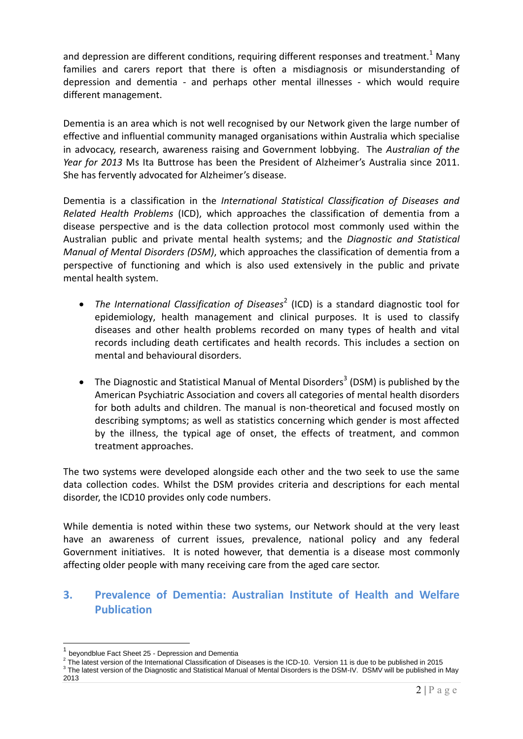and depression are different conditions, requiring different responses and treatment.<sup>1</sup> Many families and carers report that there is often a misdiagnosis or misunderstanding of depression and dementia - and perhaps other mental illnesses - which would require different management.

Dementia is an area which is not well recognised by our Network given the large number of effective and influential community managed organisations within Australia which specialise in advocacy, research, awareness raising and Government lobbying. The *Australian of the Year for 2013* Ms Ita Buttrose has been the President of Alzheimer's Australia since 2011. She has fervently advocated for Alzheimer's disease.

Dementia is a classification in the *International Statistical Classification of Diseases and Related Health Problems* (ICD), which approaches the classification of dementia from a disease perspective and is the data collection protocol most commonly used within the Australian public and private mental health systems; and the *Diagnostic and Statistical Manual of Mental Disorders (DSM)*, which approaches the classification of dementia from a perspective of functioning and which is also used extensively in the public and private mental health system.

- The International Classification of Diseases<sup>2</sup> (ICD) is a standard diagnostic tool for epidemiology, health management and clinical purposes. It is used to classify diseases and other health problems recorded on many types of health and vital records including death certificates and health records. This includes a section on mental and behavioural disorders.
- The Diagnostic and Statistical Manual of Mental Disorders<sup>3</sup> (DSM) is published by the American Psychiatric Association and covers all categories of mental health disorders for both adults and children. The manual is non-theoretical and focused mostly on describing symptoms; as well as statistics concerning which gender is most affected by the illness, the typical age of onset, the effects of treatment, and common treatment approaches.

The two systems were developed alongside each other and the two seek to use the same data collection codes. Whilst the DSM provides criteria and descriptions for each mental disorder, the ICD10 provides only code numbers.

While dementia is noted within these two systems, our Network should at the very least have an awareness of current issues, prevalence, national policy and any federal Government initiatives. It is noted however, that dementia is a disease most commonly affecting older people with many receiving care from the aged care sector.

# **3. Prevalence of Dementia: Australian Institute of Health and Welfare Publication**

1

<sup>1</sup> beyondblue Fact Sheet 25 - Depression and Dementia

 $^2$  The latest version of the International Classification of Diseases is the ICD-10. Version 11 is due to be published in 2015

<sup>&</sup>lt;sup>3</sup> The latest version of the Diagnostic and Statistical Manual of Mental Disorders is the DSM-IV. DSMV will be published in May 2013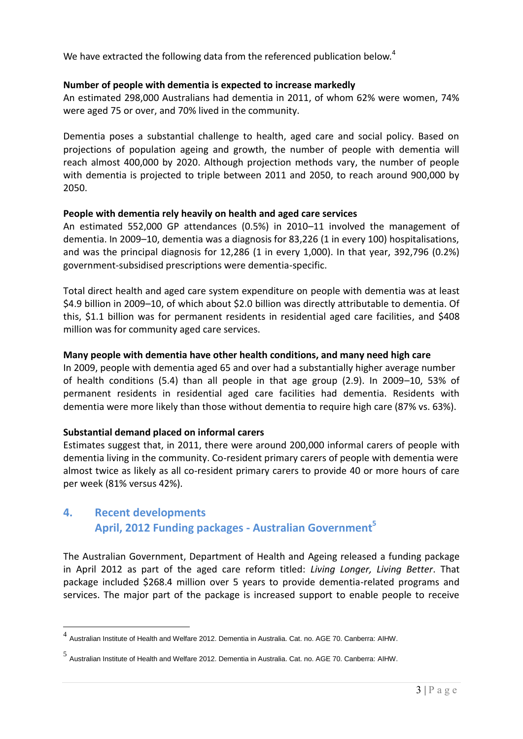We have extracted the following data from the referenced publication below.<sup>4</sup>

#### **Number of people with dementia is expected to increase markedly**

An estimated 298,000 Australians had dementia in 2011, of whom 62% were women, 74% were aged 75 or over, and 70% lived in the community.

Dementia poses a substantial challenge to health, aged care and social policy. Based on projections of population ageing and growth, the number of people with dementia will reach almost 400,000 by 2020. Although projection methods vary, the number of people with dementia is projected to triple between 2011 and 2050, to reach around 900,000 by 2050.

#### **People with dementia rely heavily on health and aged care services**

An estimated 552,000 GP attendances (0.5%) in 2010–11 involved the management of dementia. In 2009–10, dementia was a diagnosis for 83,226 (1 in every 100) hospitalisations, and was the principal diagnosis for 12,286 (1 in every 1,000). In that year, 392,796 (0.2%) government-subsidised prescriptions were dementia-specific.

Total direct health and aged care system expenditure on people with dementia was at least \$4.9 billion in 2009–10, of which about \$2.0 billion was directly attributable to dementia. Of this, \$1.1 billion was for permanent residents in residential aged care facilities, and \$408 million was for community aged care services.

#### **Many people with dementia have other health conditions, and many need high care**

In 2009, people with dementia aged 65 and over had a substantially higher average number of health conditions (5.4) than all people in that age group (2.9). In 2009–10, 53% of permanent residents in residential aged care facilities had dementia. Residents with dementia were more likely than those without dementia to require high care (87% vs. 63%).

#### **Substantial demand placed on informal carers**

Estimates suggest that, in 2011, there were around 200,000 informal carers of people with dementia living in the community. Co-resident primary carers of people with dementia were almost twice as likely as all co-resident primary carers to provide 40 or more hours of care per week (81% versus 42%).

# **4. Recent developments April, 2012 Funding packages - Australian Government<sup>5</sup>**

The Australian Government, Department of Health and Ageing released a funding package in April 2012 as part of the aged care reform titled: *Living Longer, Living Better*. That package included \$268.4 million over 5 years to provide dementia-related programs and services. The major part of the package is increased support to enable people to receive

 4 Australian Institute of Health and Welfare 2012. Dementia in Australia. Cat. no. AGE 70. Canberra: AIHW.

<sup>5</sup> Australian Institute of Health and Welfare 2012. Dementia in Australia. Cat. no. AGE 70. Canberra: AIHW.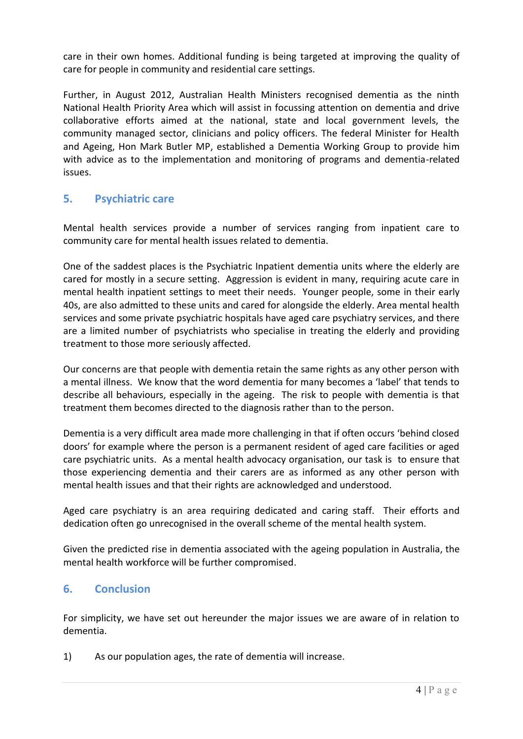care in their own homes. Additional funding is being targeted at improving the quality of care for people in community and residential care settings.

Further, in August 2012, Australian Health Ministers recognised dementia as the ninth National Health Priority Area which will assist in focussing attention on dementia and drive collaborative efforts aimed at the national, state and local government levels, the community managed sector, clinicians and policy officers. The federal Minister for Health and Ageing, Hon Mark Butler MP, established a Dementia Working Group to provide him with advice as to the implementation and monitoring of programs and dementia-related issues.

# **5. Psychiatric care**

Mental health services provide a number of services ranging from inpatient care to community care for mental health issues related to dementia.

One of the saddest places is the Psychiatric Inpatient dementia units where the elderly are cared for mostly in a secure setting. Aggression is evident in many, requiring acute care in mental health inpatient settings to meet their needs. Younger people, some in their early 40s, are also admitted to these units and cared for alongside the elderly. Area mental health services and some private psychiatric hospitals have aged care psychiatry services, and there are a limited number of psychiatrists who specialise in treating the elderly and providing treatment to those more seriously affected.

Our concerns are that people with dementia retain the same rights as any other person with a mental illness. We know that the word dementia for many becomes a 'label' that tends to describe all behaviours, especially in the ageing. The risk to people with dementia is that treatment them becomes directed to the diagnosis rather than to the person.

Dementia is a very difficult area made more challenging in that if often occurs 'behind closed doors' for example where the person is a permanent resident of aged care facilities or aged care psychiatric units. As a mental health advocacy organisation, our task is to ensure that those experiencing dementia and their carers are as informed as any other person with mental health issues and that their rights are acknowledged and understood.

Aged care psychiatry is an area requiring dedicated and caring staff. Their efforts and dedication often go unrecognised in the overall scheme of the mental health system.

Given the predicted rise in dementia associated with the ageing population in Australia, the mental health workforce will be further compromised.

### **6. Conclusion**

For simplicity, we have set out hereunder the major issues we are aware of in relation to dementia.

1) As our population ages, the rate of dementia will increase.